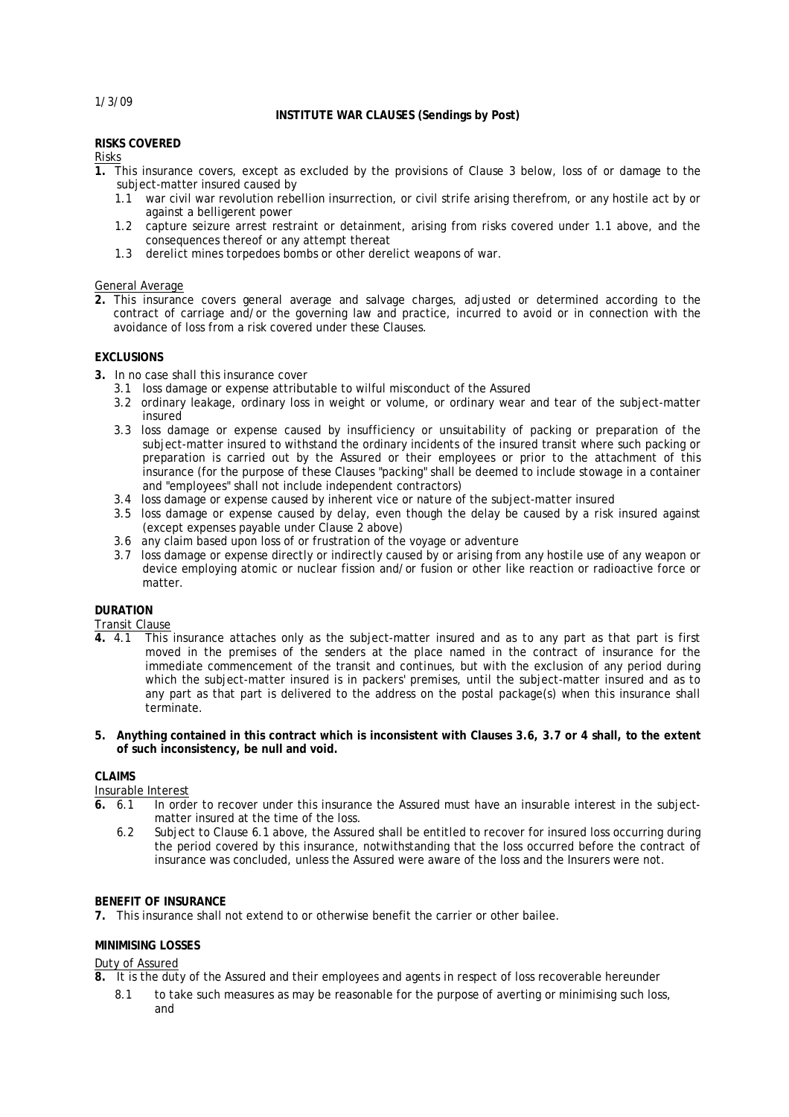1/3/09

### **INSTITUTE WAR CLAUSES (Sendings by Post)**

### **RISKS COVERED**

Risks

- **1.** This insurance covers, except as excluded by the provisions of Clause 3 below, loss of or damage to the subject-matter insured caused by
	- 1.1 war civil war revolution rebellion insurrection, or civil strife arising therefrom, or any hostile act by or against a belligerent power
	- 1.2 capture seizure arrest restraint or detainment, arising from risks covered under 1.1 above, and the consequences thereof or any attempt thereat
	- 1.3 derelict mines torpedoes bombs or other derelict weapons of war.

### General Average

**2.** This insurance covers general average and salvage charges, adjusted or determined according to the contract of carriage and/or the governing law and practice, incurred to avoid or in connection with the avoidance of loss from a risk covered under these Clauses.

# **EXCLUSIONS**

- **3.** In no case shall this insurance cover
	- 3.1 loss damage or expense attributable to wilful misconduct of the Assured
	- 3.2 ordinary leakage, ordinary loss in weight or volume, or ordinary wear and tear of the subject-matter insured
	- 3.3 loss damage or expense caused by insufficiency or unsuitability of packing or preparation of the subject-matter insured to withstand the ordinary incidents of the insured transit where such packing or preparation is carried out by the Assured or their employees or prior to the attachment of this insurance (for the purpose of these Clauses "packing" shall be deemed to include stowage in a container and "employees" shall not include independent contractors)
	- 3.4 loss damage or expense caused by inherent vice or nature of the subject-matter insured
	- 3.5 loss damage or expense caused by delay, even though the delay be caused by a risk insured against (except expenses payable under Clause 2 above)
	- 3.6 any claim based upon loss of or frustration of the voyage or adventure
	- 3.7 loss damage or expense directly or indirectly caused by or arising from any hostile use of any weapon or device employing atomic or nuclear fission and/or fusion or other like reaction or radioactive force or matter.

## **DURATION**

Transit Clause

- **4.** 4.1 This insurance attaches only as the subject-matter insured and as to any part as that part is first moved in the premises of the senders at the place named in the contract of insurance for the immediate commencement of the transit and continues, but with the exclusion of any period during which the subject-matter insured is in packers' premises, until the subject-matter insured and as to any part as that part is delivered to the address on the postal package(s) when this insurance shall terminate.
- 5. Anything contained in this contract which is inconsistent with Clauses 3.6, 3.7 or 4 shall, to the extent **of such inconsistency, be null and void.**

## **CLAIMS**

Insurable Interest<br>6. 6.1 In orde

- In order to recover under this insurance the Assured must have an insurable interest in the subjectmatter insured at the time of the loss.
	- 6.2 Subject to Clause 6.1 above, the Assured shall be entitled to recover for insured loss occurring during the period covered by this insurance, notwithstanding that the loss occurred before the contract of insurance was concluded, unless the Assured were aware of the loss and the Insurers were not.

### **BENEFIT OF INSURANCE**

**7.** This insurance shall not extend to or otherwise benefit the carrier or other bailee.

## **MINIMISING LOSSES**

Duty of Assured

- **8.** It is the duty of the Assured and their employees and agents in respect of loss recoverable hereunder
	- 8.1 to take such measures as may be reasonable for the purpose of averting or minimising such loss, and